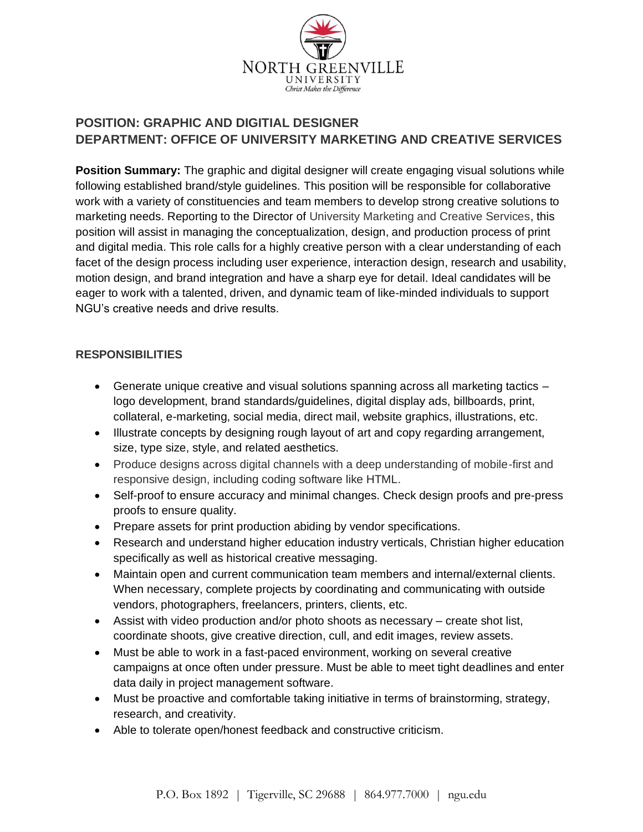

# **POSITION: GRAPHIC AND DIGITIAL DESIGNER DEPARTMENT: OFFICE OF UNIVERSITY MARKETING AND CREATIVE SERVICES**

**Position Summary:** The graphic and digital designer will create engaging visual solutions while following established brand/style guidelines. This position will be responsible for collaborative work with a variety of constituencies and team members to develop strong creative solutions to marketing needs. Reporting to the Director of University Marketing and Creative Services, this position will assist in managing the conceptualization, design, and production process of print and digital media. This role calls for a highly creative person with a clear understanding of each facet of the design process including user experience, interaction design, research and usability, motion design, and brand integration and have a sharp eye for detail. Ideal candidates will be eager to work with a talented, driven, and dynamic team of like-minded individuals to support NGU's creative needs and drive results.

#### **RESPONSIBILITIES**

- Generate unique creative and visual solutions spanning across all marketing tactics logo development, brand standards/guidelines, digital display ads, billboards, print, collateral, e-marketing, social media, direct mail, website graphics, illustrations, etc.
- Illustrate concepts by designing rough layout of art and copy regarding arrangement, size, type size, style, and related aesthetics.
- Produce designs across digital channels with a deep understanding of mobile-first and responsive design, including coding software like HTML.
- Self-proof to ensure accuracy and minimal changes. Check design proofs and pre-press proofs to ensure quality.
- Prepare assets for print production abiding by vendor specifications.
- Research and understand higher education industry verticals, Christian higher education specifically as well as historical creative messaging.
- Maintain open and current communication team members and internal/external clients. When necessary, complete projects by coordinating and communicating with outside vendors, photographers, freelancers, printers, clients, etc.
- Assist with video production and/or photo shoots as necessary create shot list, coordinate shoots, give creative direction, cull, and edit images, review assets.
- Must be able to work in a fast-paced environment, working on several creative campaigns at once often under pressure. Must be able to meet tight deadlines and enter data daily in project management software.
- Must be proactive and comfortable taking initiative in terms of brainstorming, strategy, research, and creativity.
- Able to tolerate open/honest feedback and constructive criticism.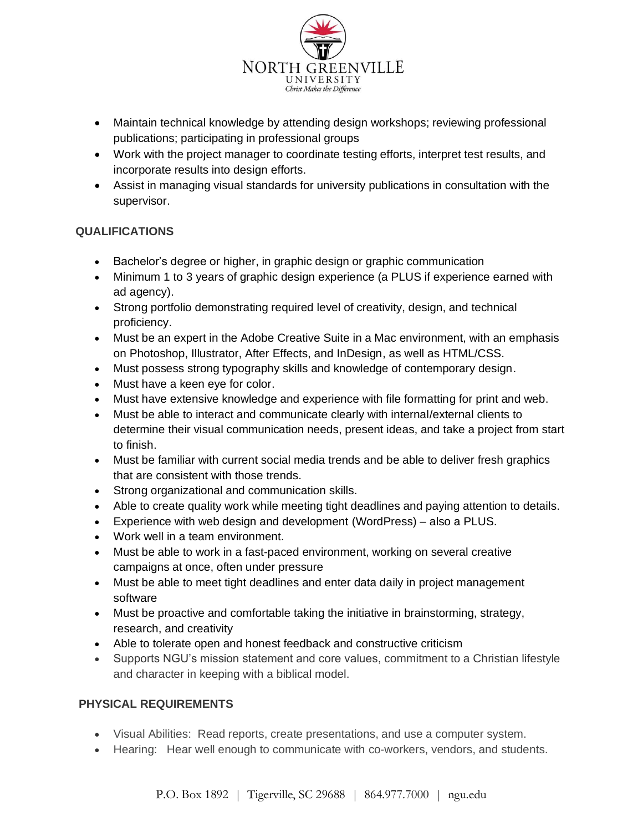

- Maintain technical knowledge by attending design workshops; reviewing professional publications; participating in professional groups
- Work with the project manager to coordinate testing efforts, interpret test results, and incorporate results into design efforts.
- Assist in managing visual standards for university publications in consultation with the supervisor.

## **QUALIFICATIONS**

- Bachelor's degree or higher, in graphic design or graphic communication
- Minimum 1 to 3 years of graphic design experience (a PLUS if experience earned with ad agency).
- Strong portfolio demonstrating required level of creativity, design, and technical proficiency.
- Must be an expert in the Adobe Creative Suite in a Mac environment, with an emphasis on Photoshop, Illustrator, After Effects, and InDesign, as well as HTML/CSS.
- Must possess strong typography skills and knowledge of contemporary design.
- Must have a keen eye for color.
- Must have extensive knowledge and experience with file formatting for print and web.
- Must be able to interact and communicate clearly with internal/external clients to determine their visual communication needs, present ideas, and take a project from start to finish.
- Must be familiar with current social media trends and be able to deliver fresh graphics that are consistent with those trends.
- Strong organizational and communication skills.
- Able to create quality work while meeting tight deadlines and paying attention to details.
- Experience with web design and development (WordPress) also a PLUS.
- Work well in a team environment.
- Must be able to work in a fast-paced environment, working on several creative campaigns at once, often under pressure
- Must be able to meet tight deadlines and enter data daily in project management software
- Must be proactive and comfortable taking the initiative in brainstorming, strategy, research, and creativity
- Able to tolerate open and honest feedback and constructive criticism
- Supports NGU's mission statement and core values, commitment to a Christian lifestyle and character in keeping with a biblical model.

## **PHYSICAL REQUIREMENTS**

- Visual Abilities: Read reports, create presentations, and use a computer system.
- Hearing: Hear well enough to communicate with co-workers, vendors, and students.